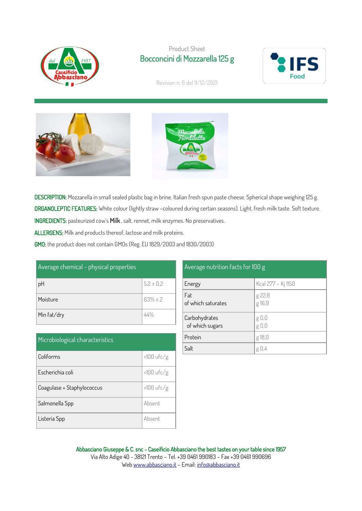

## Product Sheet Bocconcini di Mozzarella 125 g



Revision n. 6 del 11/12/2021





DESCRIPTION: Mozzarella in small sealed plastic bag in brine. Italian fresh spun paste cheese. Spherical shape weighing 125 g. ORGANOLEPTIC FEATURES: White colour (lightly straw -coloured during certain seasons). Light, fresh milk taste. Soft texture. INGREDIENTS: pasteurized cow's Milk , salt, rennet, milk enzymes. No preservatives.

ALLERGENS: Milk and products thereof, lactose and milk proteins.

GMO: the product does not contain GMOs (Reg. EU 1829/2003 and 1830/2003)

| Average chemical - physical properties |               |
|----------------------------------------|---------------|
| pH                                     | $5,2 \pm 0,2$ |
| Moisture                               | $63% \pm 2$   |
| Min fat/dry                            | 44%           |

| Microbiological characteristics |              |  |
|---------------------------------|--------------|--|
| Coliforms                       | $<100$ ufc/g |  |
| Escherichia coli                | $<100$ ufc/g |  |
| Coagulase + Staphylococcus      | $<100$ ufc/g |  |
| Salmonella Spp                  | Absent       |  |
| Listeria Spp                    | Absent       |  |

| Average nutrition facts for 100 g |                    |  |
|-----------------------------------|--------------------|--|
| Energy                            | Kcal 277 - Kj 1150 |  |
| Fat<br>of which saturates         | g 22,8<br>g 16,9   |  |
| Carbohydrates<br>of which sugars  | g 0,0<br>g 0,0     |  |
| Protein                           | g 18,0             |  |
| Salt                              | g 0,4              |  |

Abbasciano Giuseppe & C. snc - Caseificio Abbasciano the best tastes on your table since 1957 Via Alto Adige 40 - 38121 Trento – Tel. +39 0461 990183 – Fax +39 0461 990696 We[b www.abbasciano.it](http://www.abbasciano.it/) – Email[: info@abbasciano.it](mailto:info@abbasciano.it)